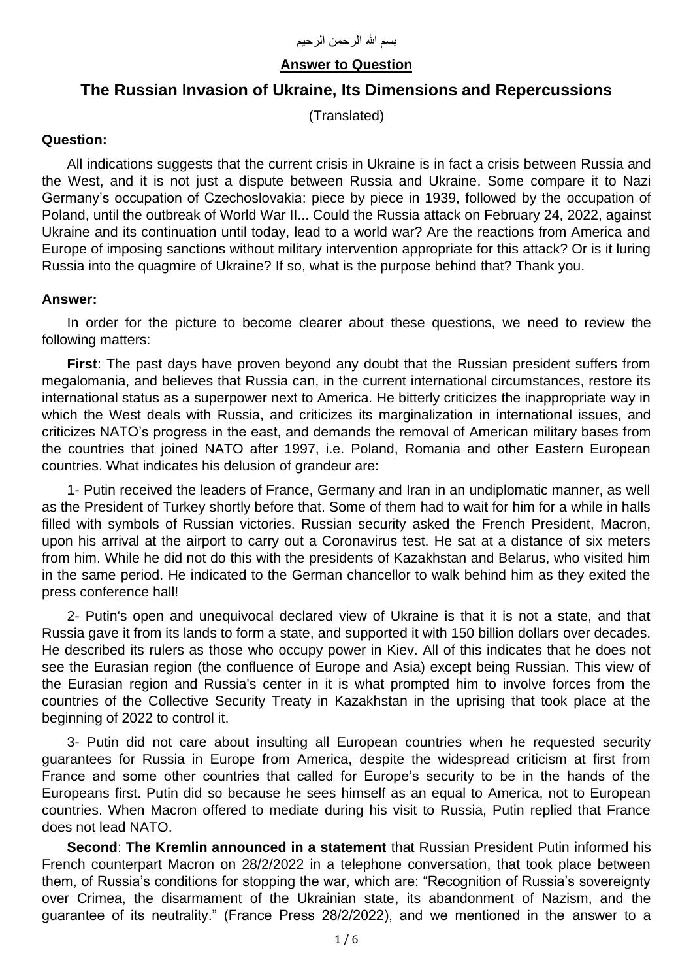# **Answer to Question**

# **The Russian Invasion of Ukraine, Its Dimensions and Repercussions**

(Translated)

#### **Question:**

All indications suggests that the current crisis in Ukraine is in fact a crisis between Russia and the West, and it is not just a dispute between Russia and Ukraine. Some compare it to Nazi Germany's occupation of Czechoslovakia: piece by piece in 1939, followed by the occupation of Poland, until the outbreak of World War II... Could the Russia attack on February 24, 2022, against Ukraine and its continuation until today, lead to a world war? Are the reactions from America and Europe of imposing sanctions without military intervention appropriate for this attack? Or is it luring Russia into the quagmire of Ukraine? If so, what is the purpose behind that? Thank you.

## **Answer:**

In order for the picture to become clearer about these questions, we need to review the following matters:

**First**: The past days have proven beyond any doubt that the Russian president suffers from megalomania, and believes that Russia can, in the current international circumstances, restore its international status as a superpower next to America. He bitterly criticizes the inappropriate way in which the West deals with Russia, and criticizes its marginalization in international issues, and criticizes NATO's progress in the east, and demands the removal of American military bases from the countries that joined NATO after 1997, i.e. Poland, Romania and other Eastern European countries. What indicates his delusion of grandeur are:

1- Putin received the leaders of France, Germany and Iran in an undiplomatic manner, as well as the President of Turkey shortly before that. Some of them had to wait for him for a while in halls filled with symbols of Russian victories. Russian security asked the French President, Macron, upon his arrival at the airport to carry out a Coronavirus test. He sat at a distance of six meters from him. While he did not do this with the presidents of Kazakhstan and Belarus, who visited him in the same period. He indicated to the German chancellor to walk behind him as they exited the press conference hall!

2- Putin's open and unequivocal declared view of Ukraine is that it is not a state, and that Russia gave it from its lands to form a state, and supported it with 150 billion dollars over decades. He described its rulers as those who occupy power in Kiev. All of this indicates that he does not see the Eurasian region (the confluence of Europe and Asia) except being Russian. This view of the Eurasian region and Russia's center in it is what prompted him to involve forces from the countries of the Collective Security Treaty in Kazakhstan in the uprising that took place at the beginning of 2022 to control it.

3- Putin did not care about insulting all European countries when he requested security guarantees for Russia in Europe from America, despite the widespread criticism at first from France and some other countries that called for Europe's security to be in the hands of the Europeans first. Putin did so because he sees himself as an equal to America, not to European countries. When Macron offered to mediate during his visit to Russia, Putin replied that France does not lead NATO.

**Second**: **The Kremlin announced in a statement** that Russian President Putin informed his French counterpart Macron on 28/2/2022 in a telephone conversation, that took place between them, of Russia's conditions for stopping the war, which are: "Recognition of Russia's sovereignty over Crimea, the disarmament of the Ukrainian state, its abandonment of Nazism, and the guarantee of its neutrality." (France Press 28/2/2022), and we mentioned in the answer to a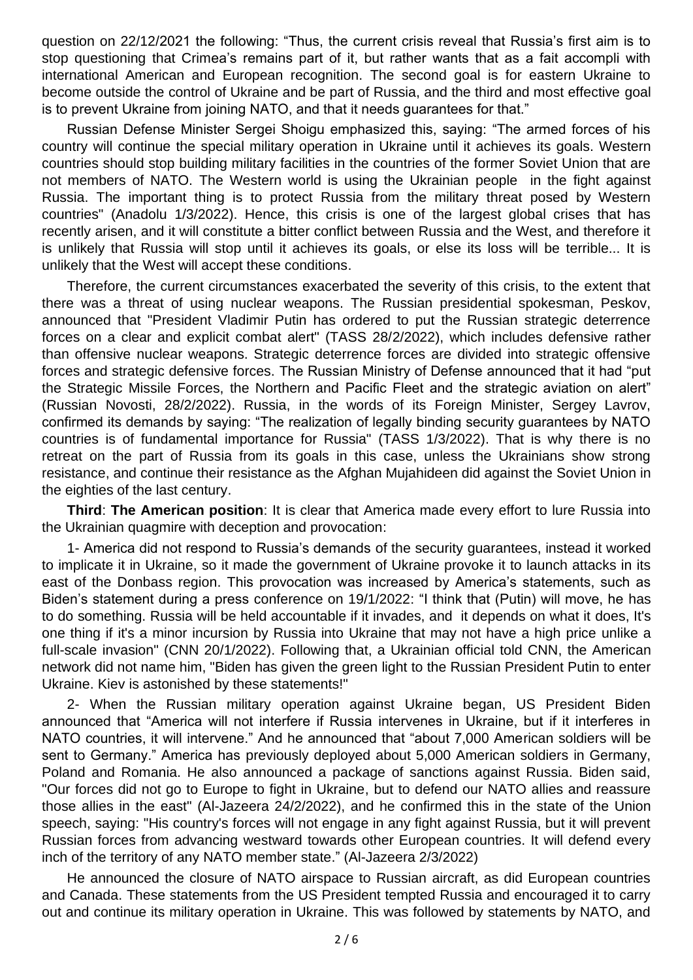question on 22/12/2021 the following: "Thus, the current crisis reveal that Russia's first aim is to stop questioning that Crimea's remains part of it, but rather wants that as a fait accompli with international American and European recognition. The second goal is for eastern Ukraine to become outside the control of Ukraine and be part of Russia, and the third and most effective goal is to prevent Ukraine from joining NATO, and that it needs guarantees for that."

Russian Defense Minister Sergei Shoigu emphasized this, saying: "The armed forces of his country will continue the special military operation in Ukraine until it achieves its goals. Western countries should stop building military facilities in the countries of the former Soviet Union that are not members of NATO. The Western world is using the Ukrainian people in the fight against Russia. The important thing is to protect Russia from the military threat posed by Western countries" (Anadolu 1/3/2022). Hence, this crisis is one of the largest global crises that has recently arisen, and it will constitute a bitter conflict between Russia and the West, and therefore it is unlikely that Russia will stop until it achieves its goals, or else its loss will be terrible... It is unlikely that the West will accept these conditions.

Therefore, the current circumstances exacerbated the severity of this crisis, to the extent that there was a threat of using nuclear weapons. The Russian presidential spokesman, Peskov, announced that "President Vladimir Putin has ordered to put the Russian strategic deterrence forces on a clear and explicit combat alert" (TASS 28/2/2022), which includes defensive rather than offensive nuclear weapons. Strategic deterrence forces are divided into strategic offensive forces and strategic defensive forces. The Russian Ministry of Defense announced that it had "put the Strategic Missile Forces, the Northern and Pacific Fleet and the strategic aviation on alert" (Russian Novosti, 28/2/2022). Russia, in the words of its Foreign Minister, Sergey Lavrov, confirmed its demands by saying: "The realization of legally binding security guarantees by NATO countries is of fundamental importance for Russia" (TASS 1/3/2022). That is why there is no retreat on the part of Russia from its goals in this case, unless the Ukrainians show strong resistance, and continue their resistance as the Afghan Mujahideen did against the Soviet Union in the eighties of the last century.

**Third**: **The American position**: It is clear that America made every effort to lure Russia into the Ukrainian quagmire with deception and provocation:

1- America did not respond to Russia's demands of the security guarantees, instead it worked to implicate it in Ukraine, so it made the government of Ukraine provoke it to launch attacks in its east of the Donbass region. This provocation was increased by America's statements, such as Biden's statement during a press conference on 19/1/2022: "I think that (Putin) will move, he has to do something. Russia will be held accountable if it invades, and it depends on what it does, It's one thing if it's a minor incursion by Russia into Ukraine that may not have a high price unlike a full-scale invasion" (CNN 20/1/2022). Following that, a Ukrainian official told CNN, the American network did not name him, "Biden has given the green light to the Russian President Putin to enter Ukraine. Kiev is astonished by these statements!"

2- When the Russian military operation against Ukraine began, US President Biden announced that "America will not interfere if Russia intervenes in Ukraine, but if it interferes in NATO countries, it will intervene." And he announced that "about 7,000 American soldiers will be sent to Germany." America has previously deployed about 5,000 American soldiers in Germany, Poland and Romania. He also announced a package of sanctions against Russia. Biden said, "Our forces did not go to Europe to fight in Ukraine, but to defend our NATO allies and reassure those allies in the east" (Al-Jazeera 24/2/2022), and he confirmed this in the state of the Union speech, saying: "His country's forces will not engage in any fight against Russia, but it will prevent Russian forces from advancing westward towards other European countries. It will defend every inch of the territory of any NATO member state." (Al-Jazeera 2/3/2022)

He announced the closure of NATO airspace to Russian aircraft, as did European countries and Canada. These statements from the US President tempted Russia and encouraged it to carry out and continue its military operation in Ukraine. This was followed by statements by NATO, and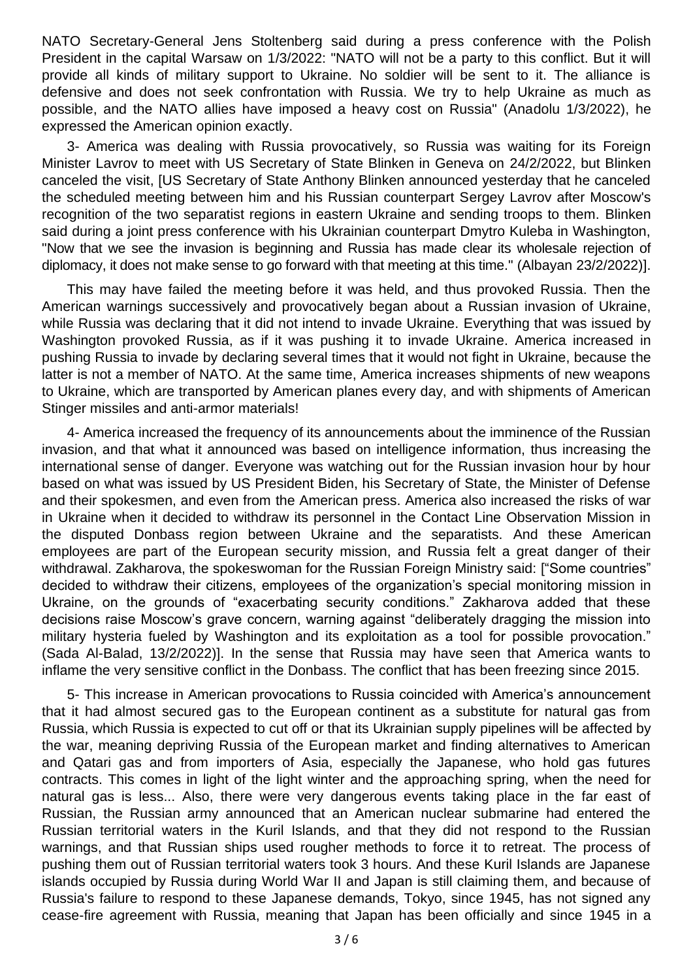NATO Secretary-General Jens Stoltenberg said during a press conference with the Polish President in the capital Warsaw on 1/3/2022: "NATO will not be a party to this conflict. But it will provide all kinds of military support to Ukraine. No soldier will be sent to it. The alliance is defensive and does not seek confrontation with Russia. We try to help Ukraine as much as possible, and the NATO allies have imposed a heavy cost on Russia" (Anadolu 1/3/2022), he expressed the American opinion exactly.

3- America was dealing with Russia provocatively, so Russia was waiting for its Foreign Minister Lavrov to meet with US Secretary of State Blinken in Geneva on 24/2/2022, but Blinken canceled the visit, [US Secretary of State Anthony Blinken announced yesterday that he canceled the scheduled meeting between him and his Russian counterpart Sergey Lavrov after Moscow's recognition of the two separatist regions in eastern Ukraine and sending troops to them. Blinken said during a joint press conference with his Ukrainian counterpart Dmytro Kuleba in Washington, "Now that we see the invasion is beginning and Russia has made clear its wholesale rejection of diplomacy, it does not make sense to go forward with that meeting at this time." (Albayan 23/2/2022)].

This may have failed the meeting before it was held, and thus provoked Russia. Then the American warnings successively and provocatively began about a Russian invasion of Ukraine, while Russia was declaring that it did not intend to invade Ukraine. Everything that was issued by Washington provoked Russia, as if it was pushing it to invade Ukraine. America increased in pushing Russia to invade by declaring several times that it would not fight in Ukraine, because the latter is not a member of NATO. At the same time, America increases shipments of new weapons to Ukraine, which are transported by American planes every day, and with shipments of American Stinger missiles and anti-armor materials!

4- America increased the frequency of its announcements about the imminence of the Russian invasion, and that what it announced was based on intelligence information, thus increasing the international sense of danger. Everyone was watching out for the Russian invasion hour by hour based on what was issued by US President Biden, his Secretary of State, the Minister of Defense and their spokesmen, and even from the American press. America also increased the risks of war in Ukraine when it decided to withdraw its personnel in the Contact Line Observation Mission in the disputed Donbass region between Ukraine and the separatists. And these American employees are part of the European security mission, and Russia felt a great danger of their withdrawal. Zakharova, the spokeswoman for the Russian Foreign Ministry said: ["Some countries" decided to withdraw their citizens, employees of the organization's special monitoring mission in Ukraine, on the grounds of "exacerbating security conditions." Zakharova added that these decisions raise Moscow's grave concern, warning against "deliberately dragging the mission into military hysteria fueled by Washington and its exploitation as a tool for possible provocation." (Sada Al-Balad, 13/2/2022)]. In the sense that Russia may have seen that America wants to inflame the very sensitive conflict in the Donbass. The conflict that has been freezing since 2015.

5- This increase in American provocations to Russia coincided with America's announcement that it had almost secured gas to the European continent as a substitute for natural gas from Russia, which Russia is expected to cut off or that its Ukrainian supply pipelines will be affected by the war, meaning depriving Russia of the European market and finding alternatives to American and Qatari gas and from importers of Asia, especially the Japanese, who hold gas futures contracts. This comes in light of the light winter and the approaching spring, when the need for natural gas is less... Also, there were very dangerous events taking place in the far east of Russian, the Russian army announced that an American nuclear submarine had entered the Russian territorial waters in the Kuril Islands, and that they did not respond to the Russian warnings, and that Russian ships used rougher methods to force it to retreat. The process of pushing them out of Russian territorial waters took 3 hours. And these Kuril Islands are Japanese islands occupied by Russia during World War II and Japan is still claiming them, and because of Russia's failure to respond to these Japanese demands, Tokyo, since 1945, has not signed any cease-fire agreement with Russia, meaning that Japan has been officially and since 1945 in a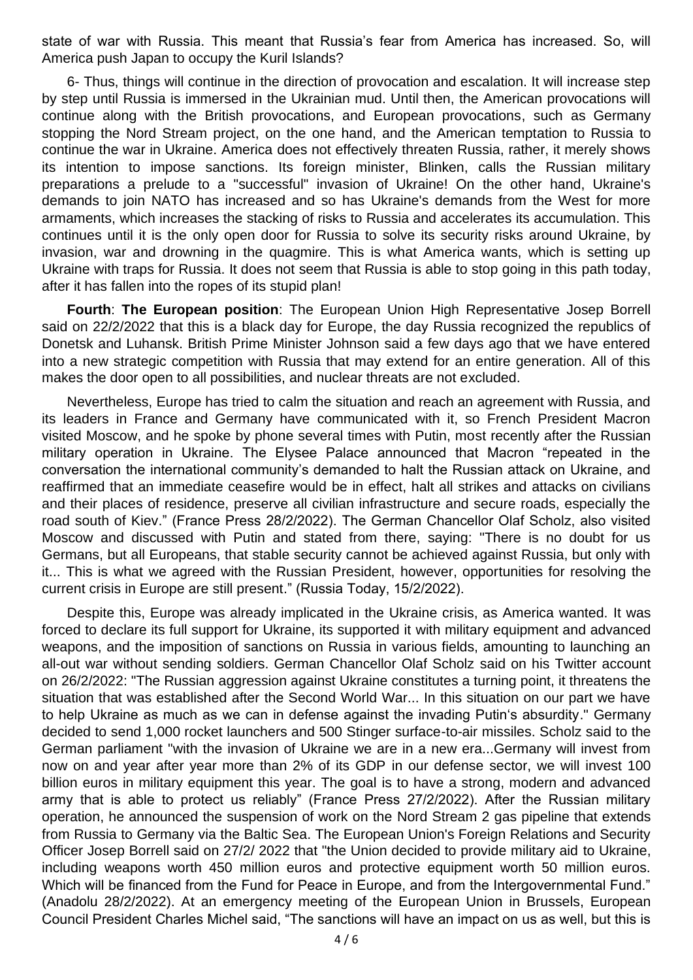state of war with Russia. This meant that Russia's fear from America has increased. So, will America push Japan to occupy the Kuril Islands?

6- Thus, things will continue in the direction of provocation and escalation. It will increase step by step until Russia is immersed in the Ukrainian mud. Until then, the American provocations will continue along with the British provocations, and European provocations, such as Germany stopping the Nord Stream project, on the one hand, and the American temptation to Russia to continue the war in Ukraine. America does not effectively threaten Russia, rather, it merely shows its intention to impose sanctions. Its foreign minister, Blinken, calls the Russian military preparations a prelude to a "successful" invasion of Ukraine! On the other hand, Ukraine's demands to join NATO has increased and so has Ukraine's demands from the West for more armaments, which increases the stacking of risks to Russia and accelerates its accumulation. This continues until it is the only open door for Russia to solve its security risks around Ukraine, by invasion, war and drowning in the quagmire. This is what America wants, which is setting up Ukraine with traps for Russia. It does not seem that Russia is able to stop going in this path today, after it has fallen into the ropes of its stupid plan!

**Fourth**: **The European position**: The European Union High Representative Josep Borrell said on 22/2/2022 that this is a black day for Europe, the day Russia recognized the republics of Donetsk and Luhansk. British Prime Minister Johnson said a few days ago that we have entered into a new strategic competition with Russia that may extend for an entire generation. All of this makes the door open to all possibilities, and nuclear threats are not excluded.

Nevertheless, Europe has tried to calm the situation and reach an agreement with Russia, and its leaders in France and Germany have communicated with it, so French President Macron visited Moscow, and he spoke by phone several times with Putin, most recently after the Russian military operation in Ukraine. The Elysee Palace announced that Macron "repeated in the conversation the international community's demanded to halt the Russian attack on Ukraine, and reaffirmed that an immediate ceasefire would be in effect, halt all strikes and attacks on civilians and their places of residence, preserve all civilian infrastructure and secure roads, especially the road south of Kiev." (France Press 28/2/2022). The German Chancellor Olaf Scholz, also visited Moscow and discussed with Putin and stated from there, saying: "There is no doubt for us Germans, but all Europeans, that stable security cannot be achieved against Russia, but only with it... This is what we agreed with the Russian President, however, opportunities for resolving the current crisis in Europe are still present." (Russia Today, 15/2/2022).

Despite this, Europe was already implicated in the Ukraine crisis, as America wanted. It was forced to declare its full support for Ukraine, its supported it with military equipment and advanced weapons, and the imposition of sanctions on Russia in various fields, amounting to launching an all-out war without sending soldiers. German Chancellor Olaf Scholz said on his Twitter account on 26/2/2022: "The Russian aggression against Ukraine constitutes a turning point, it threatens the situation that was established after the Second World War... In this situation on our part we have to help Ukraine as much as we can in defense against the invading Putin's absurdity." Germany decided to send 1,000 rocket launchers and 500 Stinger surface-to-air missiles. Scholz said to the German parliament "with the invasion of Ukraine we are in a new era...Germany will invest from now on and year after year more than 2% of its GDP in our defense sector, we will invest 100 billion euros in military equipment this year. The goal is to have a strong, modern and advanced army that is able to protect us reliably" (France Press 27/2/2022). After the Russian military operation, he announced the suspension of work on the Nord Stream 2 gas pipeline that extends from Russia to Germany via the Baltic Sea. The European Union's Foreign Relations and Security Officer Josep Borrell said on 27/2/ 2022 that "the Union decided to provide military aid to Ukraine, including weapons worth 450 million euros and protective equipment worth 50 million euros. Which will be financed from the Fund for Peace in Europe, and from the Intergovernmental Fund." (Anadolu 28/2/2022). At an emergency meeting of the European Union in Brussels, European Council President Charles Michel said, "The sanctions will have an impact on us as well, but this is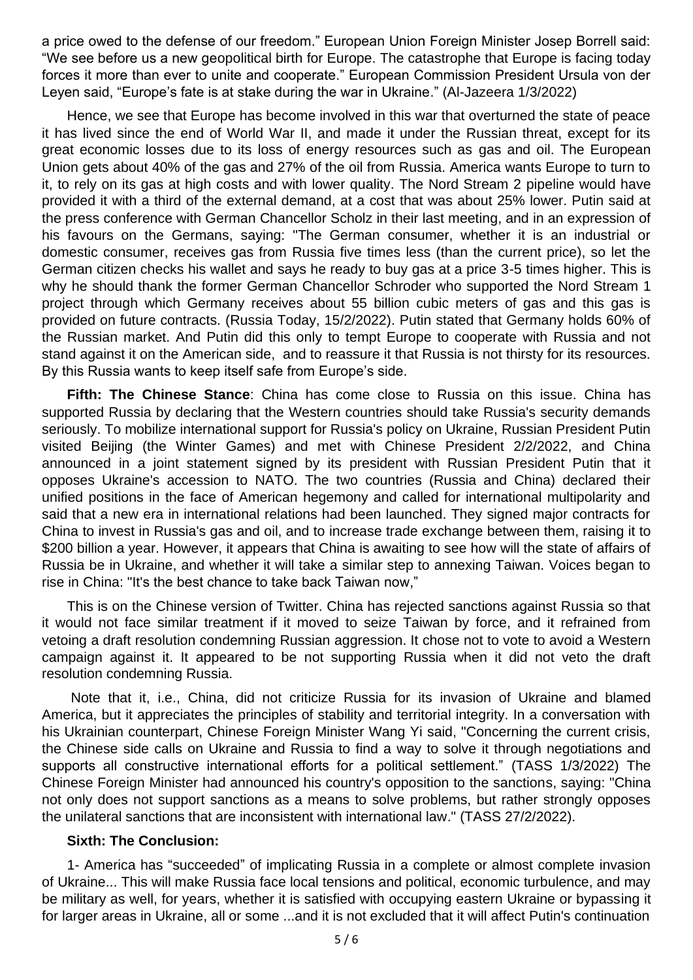a price owed to the defense of our freedom." European Union Foreign Minister Josep Borrell said: "We see before us a new geopolitical birth for Europe. The catastrophe that Europe is facing today forces it more than ever to unite and cooperate." European Commission President Ursula von der Leyen said, "Europe's fate is at stake during the war in Ukraine." (Al-Jazeera 1/3/2022)

Hence, we see that Europe has become involved in this war that overturned the state of peace it has lived since the end of World War II, and made it under the Russian threat, except for its great economic losses due to its loss of energy resources such as gas and oil. The European Union gets about 40% of the gas and 27% of the oil from Russia. America wants Europe to turn to it, to rely on its gas at high costs and with lower quality. The Nord Stream 2 pipeline would have provided it with a third of the external demand, at a cost that was about 25% lower. Putin said at the press conference with German Chancellor Scholz in their last meeting, and in an expression of his favours on the Germans, saying: "The German consumer, whether it is an industrial or domestic consumer, receives gas from Russia five times less (than the current price), so let the German citizen checks his wallet and says he ready to buy gas at a price 3-5 times higher. This is why he should thank the former German Chancellor Schroder who supported the Nord Stream 1 project through which Germany receives about 55 billion cubic meters of gas and this gas is provided on future contracts. (Russia Today, 15/2/2022). Putin stated that Germany holds 60% of the Russian market. And Putin did this only to tempt Europe to cooperate with Russia and not stand against it on the American side, and to reassure it that Russia is not thirsty for its resources. By this Russia wants to keep itself safe from Europe's side.

**Fifth: The Chinese Stance**: China has come close to Russia on this issue. China has supported Russia by declaring that the Western countries should take Russia's security demands seriously. To mobilize international support for Russia's policy on Ukraine, Russian President Putin visited Beijing (the Winter Games) and met with Chinese President 2/2/2022, and China announced in a joint statement signed by its president with Russian President Putin that it opposes Ukraine's accession to NATO. The two countries (Russia and China) declared their unified positions in the face of American hegemony and called for international multipolarity and said that a new era in international relations had been launched. They signed major contracts for China to invest in Russia's gas and oil, and to increase trade exchange between them, raising it to \$200 billion a year. However, it appears that China is awaiting to see how will the state of affairs of Russia be in Ukraine, and whether it will take a similar step to annexing Taiwan. Voices began to rise in China: "It's the best chance to take back Taiwan now,"

This is on the Chinese version of Twitter. China has rejected sanctions against Russia so that it would not face similar treatment if it moved to seize Taiwan by force, and it refrained from vetoing a draft resolution condemning Russian aggression. It chose not to vote to avoid a Western campaign against it. It appeared to be not supporting Russia when it did not veto the draft resolution condemning Russia.

Note that it, i.e., China, did not criticize Russia for its invasion of Ukraine and blamed America, but it appreciates the principles of stability and territorial integrity. In a conversation with his Ukrainian counterpart, Chinese Foreign Minister Wang Yi said, "Concerning the current crisis, the Chinese side calls on Ukraine and Russia to find a way to solve it through negotiations and supports all constructive international efforts for a political settlement." (TASS 1/3/2022) The Chinese Foreign Minister had announced his country's opposition to the sanctions, saying: "China not only does not support sanctions as a means to solve problems, but rather strongly opposes the unilateral sanctions that are inconsistent with international law." (TASS 27/2/2022).

## **Sixth: The Conclusion:**

1- America has "succeeded" of implicating Russia in a complete or almost complete invasion of Ukraine... This will make Russia face local tensions and political, economic turbulence, and may be military as well, for years, whether it is satisfied with occupying eastern Ukraine or bypassing it for larger areas in Ukraine, all or some ...and it is not excluded that it will affect Putin's continuation